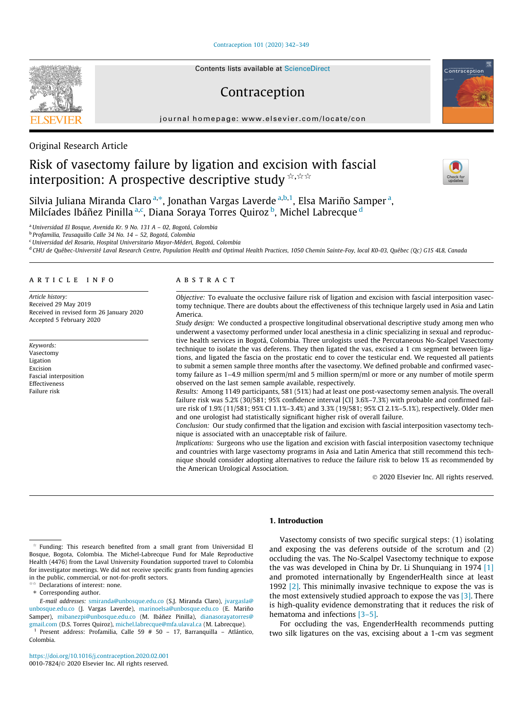[Contraception 101 \(2020\) 342–349](https://doi.org/10.1016/j.contraception.2020.02.001)

# Contraception

journal homepage: [www.elsevier.com/locate/con](http://www.elsevier.com/locate/con)



# Risk of vasectomy failure by ligation and excision with fascial interposition: A prospective descriptive study  $\forall x \forall x$

Silvia Juliana Miranda Claro <sup>a,</sup>\*, Jonathan Vargas Laverde <sup>a,b,1</sup>, Elsa Mariño Samper <sup>a</sup>, Milcíades Ibáñez Pinilla <sup>a,c</sup>, Diana Soraya Torres Quiroz <sup>b</sup>, Michel Labrecque <sup>d</sup>

<sup>a</sup>Universidad El Bosque, Avenida Kr. 9 No. 131 A – 02, Bogotá, Colombia

<sup>b</sup> Profamilia, Teusaquillo Calle 34 No. 14 – 52, Bogotá, Colombia

<sup>c</sup>Universidad del Rosario, Hospital Universitario Mayor-Méderi, Bogotá, Colombia

<sup>d</sup> CHU de Québec-Université Laval Research Centre, Population Health and Optimal Health Practices, 1050 Chemin Sainte-Foy, local K0-03, Québec (Qc) G1S 4L8, Canada

# article info

Article history: Received 29 May 2019 Received in revised form 26 January 2020 Accepted 5 February 2020

Keywords: Vasectomy Ligation Excision Fascial interposition Effectiveness Failure risk

### **ABSTRACT**

Objective: To evaluate the occlusive failure risk of ligation and excision with fascial interposition vasectomy technique. There are doubts about the effectiveness of this technique largely used in Asia and Latin America.

Study design: We conducted a prospective longitudinal observational descriptive study among men who underwent a vasectomy performed under local anesthesia in a clinic specializing in sexual and reproductive health services in Bogotá, Colombia. Three urologists used the Percutaneous No-Scalpel Vasectomy technique to isolate the vas deferens. They then ligated the vas, excised a 1 cm segment between ligations, and ligated the fascia on the prostatic end to cover the testicular end. We requested all patients to submit a semen sample three months after the vasectomy. We defined probable and confirmed vasectomy failure as 1–4.9 million sperm/ml and 5 million sperm/ml or more or any number of motile sperm observed on the last semen sample available, respectively.

Results: Among 1149 participants, 581 (51%) had at least one post-vasectomy semen analysis. The overall failure risk was 5.2% (30/581; 95% confidence interval [CI] 3.6%–7.3%) with probable and confirmed failure risk of 1.9% (11/581; 95% CI 1.1%–3.4%) and 3.3% (19/581; 95% CI 2.1%–5.1%), respectively. Older men and one urologist had statistically significant higher risk of overall failure.

Conclusion: Our study confirmed that the ligation and excision with fascial interposition vasectomy technique is associated with an unacceptable risk of failure.

Implications: Surgeons who use the ligation and excision with fascial interposition vasectomy technique and countries with large vasectomy programs in Asia and Latin America that still recommend this technique should consider adopting alternatives to reduce the failure risk to below 1% as recommended by the American Urological Association.

2020 Elsevier Inc. All rights reserved.

### $*$  Funding: This research benefited from a small grant from Universidad El Bosque, Bogota, Colombia. The Michel-Labrecque Fund for Male Reproductive Health (4476) from the Laval University Foundation supported travel to Colombia for investigator meetings. We did not receive specific grants from funding agencies in the public, commercial, or not-for-profit sectors.

 $\sqrt{\alpha}$  Declarations of interest: none.

# 1. Introduction

Vasectomy consists of two specific surgical steps: (1) isolating and exposing the vas deferens outside of the scrotum and (2) occluding the vas. The No-Scalpel Vasectomy technique to expose the vas was developed in China by Dr. Li Shunquiang in 1974 [\[1\]](#page-7-0) and promoted internationally by EngenderHealth since at least 1992 [\[2\].](#page-7-0) This minimally invasive technique to expose the vas is the most extensively studied approach to expose the vas  $[3]$ . There is high-quality evidence demonstrating that it reduces the risk of hematoma and infections [3-5].

For occluding the vas, EngenderHealth recommends putting two silk ligatures on the vas, excising about a 1-cm vas segment





Contraception

<sup>⇑</sup> Corresponding author.

E-mail addresses: [smiranda@unbosque.edu.co](mailto:smiranda@unbosque.edu.co) (S.J. Miranda Claro), [jvargasla@](mailto:jvargasla@unbosque.edu.co) [unbosque.edu.co](mailto:jvargasla@unbosque.edu.co) (J. Vargas Laverde), [marinoelsa@unbosque.edu.co](mailto:marinoelsa@unbosque.edu.co) (E. Mariño Samper), [mibanezpi@unbosque.edu.co](mailto:mibanezpi@unbosque.edu.co) (M. Ibáñez Pinilla), [dianasorayatorres@](mailto:dianasorayatorres@gmail.com) [gmail.com](mailto:dianasorayatorres@gmail.com) (D.S. Torres Quiroz), [michel.labrecque@mfa.ulaval.ca](mailto:michel.labrecque@mfa.ulaval.ca) (M. Labrecque).

<sup>&</sup>lt;sup>1</sup> Present address: Profamilia, Calle 59  $#$  50 - 17, Barranquilla - Atlántico, Colombia.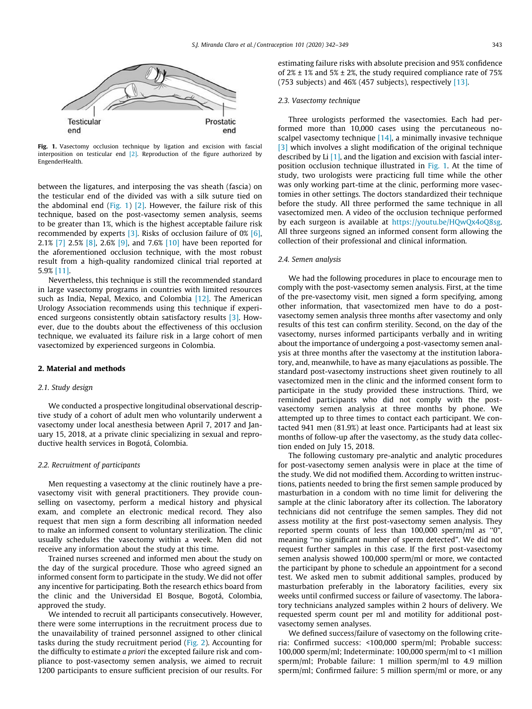<span id="page-1-0"></span>

Fig. 1. Vasectomy occlusion technique by ligation and excision with fascial interposition on testicular end [\[2\].](#page-7-0) Reproduction of the figure authorized by EngenderHealth.

between the ligatures, and interposing the vas sheath (fascia) on the testicular end of the divided vas with a silk suture tied on the abdominal end  $(Fig. 1)$  [\[2\].](#page-7-0) However, the failure risk of this technique, based on the post-vasectomy semen analysis, seems to be greater than 1%, which is the highest acceptable failure risk recommended by experts [\[3\].](#page-7-0) Risks of occlusion failure of 0% [\[6\],](#page-7-0) 2.1% [\[7\]](#page-7-0) 2.5% [\[8\]](#page-7-0), 2.6% [\[9\]](#page-7-0), and 7.6% [\[10\]](#page-7-0) have been reported for the aforementioned occlusion technique, with the most robust result from a high-quality randomized clinical trial reported at 5.9% [\[11\]](#page-7-0).

Nevertheless, this technique is still the recommended standard in large vasectomy programs in countries with limited resources such as India, Nepal, Mexico, and Colombia [\[12\]](#page-7-0). The American Urology Association recommends using this technique if experienced surgeons consistently obtain satisfactory results [\[3\]](#page-7-0). However, due to the doubts about the effectiveness of this occlusion technique, we evaluated its failure risk in a large cohort of men vasectomized by experienced surgeons in Colombia.

#### 2. Material and methods

## 2.1. Study design

We conducted a prospective longitudinal observational descriptive study of a cohort of adult men who voluntarily underwent a vasectomy under local anesthesia between April 7, 2017 and January 15, 2018, at a private clinic specializing in sexual and reproductive health services in Bogotá, Colombia.

#### 2.2. Recruitment of participants

Men requesting a vasectomy at the clinic routinely have a prevasectomy visit with general practitioners. They provide counselling on vasectomy, perform a medical history and physical exam, and complete an electronic medical record. They also request that men sign a form describing all information needed to make an informed consent to voluntary sterilization. The clinic usually schedules the vasectomy within a week. Men did not receive any information about the study at this time.

Trained nurses screened and informed men about the study on the day of the surgical procedure. Those who agreed signed an informed consent form to participate in the study. We did not offer any incentive for participating. Both the research ethics board from the clinic and the Universidad El Bosque, Bogotá, Colombia, approved the study.

We intended to recruit all participants consecutively. However, there were some interruptions in the recruitment process due to the unavailability of trained personnel assigned to other clinical tasks during the study recruitment period [\(Fig. 2\)](#page-2-0). Accounting for the difficulty to estimate a priori the excepted failure risk and compliance to post-vasectomy semen analysis, we aimed to recruit 1200 participants to ensure sufficient precision of our results. For estimating failure risks with absolute precision and 95% confidence of  $2\% \pm 1\%$  and  $5\% \pm 2\%$ , the study required compliance rate of 75% (753 subjects) and  $46\%$  (457 subjects), respectively [\[13\].](#page-7-0)

## 2.3. Vasectomy technique

Three urologists performed the vasectomies. Each had performed more than 10,000 cases using the percutaneous noscalpel vasectomy technique  $[14]$ , a minimally invasive technique [\[3\]](#page-7-0) which involves a slight modification of the original technique described by Li  $[1]$ , and the ligation and excision with fascial interposition occlusion technique illustrated in Fig. 1. At the time of study, two urologists were practicing full time while the other was only working part-time at the clinic, performing more vasectomies in other settings. The doctors standardized their technique before the study. All three performed the same technique in all vasectomized men. A video of the occlusion technique performed by each surgeon is available at [https://youtu.be/HQwQx4oQ8sg.](https://youtu.be/HQwQx4oQ8sg) All three surgeons signed an informed consent form allowing the collection of their professional and clinical information.

## 2.4. Semen analysis

We had the following procedures in place to encourage men to comply with the post-vasectomy semen analysis. First, at the time of the pre-vasectomy visit, men signed a form specifying, among other information, that vasectomized men have to do a postvasectomy semen analysis three months after vasectomy and only results of this test can confirm sterility. Second, on the day of the vasectomy, nurses informed participants verbally and in writing about the importance of undergoing a post-vasectomy semen analysis at three months after the vasectomy at the institution laboratory, and, meanwhile, to have as many ejaculations as possible. The standard post-vasectomy instructions sheet given routinely to all vasectomized men in the clinic and the informed consent form to participate in the study provided these instructions. Third, we reminded participants who did not comply with the postvasectomy semen analysis at three months by phone. We attempted up to three times to contact each participant. We contacted 941 men (81.9%) at least once. Participants had at least six months of follow-up after the vasectomy, as the study data collection ended on July 15, 2018.

The following customary pre-analytic and analytic procedures for post-vasectomy semen analysis were in place at the time of the study. We did not modified them. According to written instructions, patients needed to bring the first semen sample produced by masturbation in a condom with no time limit for delivering the sample at the clinic laboratory after its collection. The laboratory technicians did not centrifuge the semen samples. They did not assess motility at the first post-vasectomy semen analysis. They reported sperm counts of less than 100,000 sperm/ml as ''0", meaning ''no significant number of sperm detected". We did not request further samples in this case. If the first post-vasectomy semen analysis showed 100,000 sperm/ml or more, we contacted the participant by phone to schedule an appointment for a second test. We asked men to submit additional samples, produced by masturbation preferably in the laboratory facilities, every six weeks until confirmed success or failure of vasectomy. The laboratory technicians analyzed samples within 2 hours of delivery. We requested sperm count per ml and motility for additional postvasectomy semen analyses.

We defined success/failure of vasectomy on the following criteria: Confirmed success: <100,000 sperm/ml; Probable success: 100,000 sperm/ml; Indeterminate: 100,000 sperm/ml to <1 million sperm/ml; Probable failure: 1 million sperm/ml to 4.9 million sperm/ml; Confirmed failure: 5 million sperm/ml or more, or any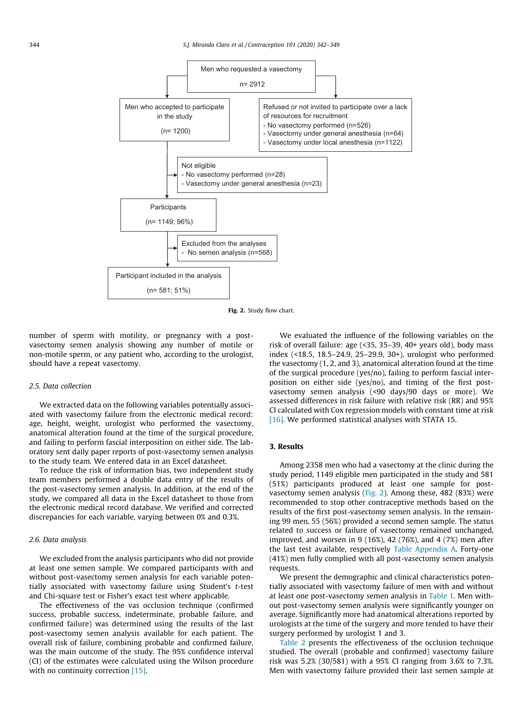<span id="page-2-0"></span>

Fig. 2. Study flow chart.

number of sperm with motility, or pregnancy with a postvasectomy semen analysis showing any number of motile or non-motile sperm, or any patient who, according to the urologist, should have a repeat vasectomy.

# 2.5. Data collection

We extracted data on the following variables potentially associated with vasectomy failure from the electronic medical record: age, height, weight, urologist who performed the vasectomy, anatomical alteration found at the time of the surgical procedure, and failing to perform fascial interposition on either side. The laboratory sent daily paper reports of post-vasectomy semen analysis to the study team. We entered data in an Excel datasheet.

To reduce the risk of information bias, two independent study team members performed a double data entry of the results of the post-vasectomy semen analysis. In addition, at the end of the study, we compared all data in the Excel datasheet to those from the electronic medical record database. We verified and corrected discrepancies for each variable, varying between 0% and 0.3%.

# 2.6. Data analysis

We excluded from the analysis participants who did not provide at least one semen sample. We compared participants with and without post-vasectomy semen analysis for each variable potentially associated with vasectomy failure using Student's t-test and Chi-square test or Fisher's exact test where applicable.

The effectiveness of the vas occlusion technique (confirmed success, probable success, indeterminate, probable failure, and confirmed failure) was determined using the results of the last post-vasectomy semen analysis available for each patient. The overall risk of failure, combining probable and confirmed failure, was the main outcome of the study. The 95% confidence interval (CI) of the estimates were calculated using the Wilson procedure with no continuity correction [\[15\]](#page-7-0).

We evaluated the influence of the following variables on the risk of overall failure: age (<35, 35–39, 40+ years old), body mass index (<18.5, 18.5–24.9, 25–29.9, 30+), urologist who performed the vasectomy (1, 2, and 3), anatomical alteration found at the time of the surgical procedure (yes/no), failing to perform fascial interposition on either side (yes/no), and timing of the first postvasectomy semen analysis (<90 days/90 days or more). We assessed differences in risk failure with relative risk (RR) and 95% CI calculated with Cox regression models with constant time at risk [\[16\]](#page-7-0). We performed statistical analyses with STATA 15.

# 3. Results

Among 2358 men who had a vasectomy at the clinic during the study period, 1149 eligible men participated in the study and 581 (51%) participants produced at least one sample for postvasectomy semen analysis (Fig. 2). Among these, 482 (83%) were recommended to stop other contraceptive methods based on the results of the first post-vasectomy semen analysis. In the remaining 99 men, 55 (56%) provided a second semen sample. The status related to success or failure of vasectomy remained unchanged, improved, and worsen in 9 (16%), 42 (76%), and 4 (7%) men after the last test available, respectively [Table Appendix A](#page-5-0). Forty-one (41%) men fully complied with all post-vasectomy semen analysis requests

We present the demographic and clinical characteristics potentially associated with vasectomy failure of men with and without at least one post-vasectomy semen analysis in [Table 1](#page-3-0). Men without post-vasectomy semen analysis were significantly younger on average. Significantly more had anatomical alterations reported by urologists at the time of the surgery and more tended to have their surgery performed by urologist 1 and 3.

[Table 2](#page-3-0) presents the effectiveness of the occlusion technique studied. The overall (probable and confirmed) vasectomy failure risk was 5.2% (30/581) with a 95% CI ranging from 3.6% to 7.3%. Men with vasectomy failure provided their last semen sample at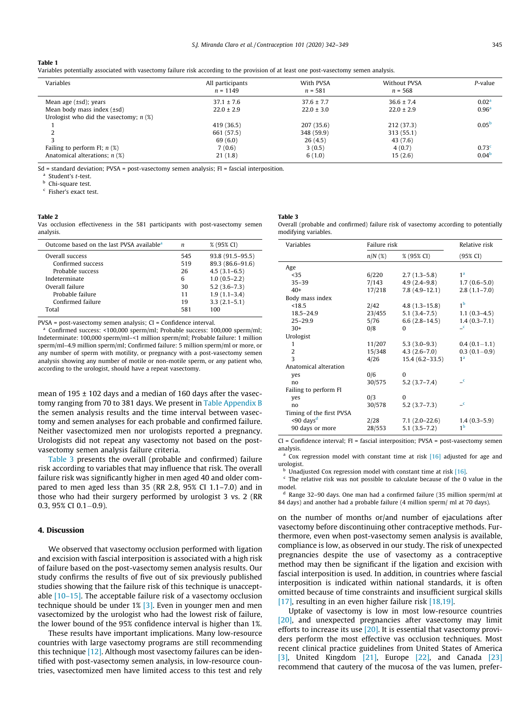<span id="page-3-0"></span>

Variables potentially associated with vasectomy failure risk according to the provision of at least one post-vasectomy semen analysis.

| Variables                                | All participants<br>$n = 1149$ | With PVSA<br>$n = 581$ | <b>Without PVSA</b><br>$n = 568$ | P-value           |
|------------------------------------------|--------------------------------|------------------------|----------------------------------|-------------------|
| Mean age $(\pm sd)$ ; years              | $37.1 \pm 7.6$                 | $37.6 \pm 7.7$         | $36.6 \pm 7.4$                   | 0.02 <sup>a</sup> |
| Mean body mass index (±sd)               | $22.0 \pm 2.9$                 | $22.0 \pm 3.0$         | $22.0 \pm 2.9$                   | 0.96 <sup>a</sup> |
| Urologist who did the vasectomy; $n$ (%) |                                |                        |                                  |                   |
|                                          | 419 (36.5)                     | 207(35.6)              | 212 (37.3)                       | 0.05 <sup>b</sup> |
|                                          | 661 (57.5)                     | 348 (59.9)             | 313 (55.1)                       |                   |
|                                          | 69(6.0)                        | 26(4.5)                | 43(7.6)                          |                   |
| Failing to perform FI; $n$ (%)           | 7(0.6)                         | 3(0.5)                 | 4(0.7)                           | 0.73 <sup>c</sup> |
| Anatomical alterations; $n$ (%)          | 21(1.8)                        | 6(1.0)                 | 15(2.6)                          | 0.04 <sup>b</sup> |

 $Sd =$  standard deviation; PVSA = post-vasectomy semen analysis; FI = fascial interposition.

Student's t-test.

Chi-square test.

<sup>c</sup> Fisher's exact test.

#### Table 2

Vas occlusion effectiveness in the 581 participants with post-vasectomy semen analysis.

| Outcome based on the last PVSA available <sup>a</sup> | n   | % (95% CI)        |
|-------------------------------------------------------|-----|-------------------|
| Overall success                                       | 545 | $93.8(91.5-95.5)$ |
| Confirmed success                                     | 519 | 89.3 (86.6-91.6)  |
| Probable success                                      | 26  | $4.5(3.1-6.5)$    |
| Indeterminate                                         | 6   | $1.0(0.5-2.2)$    |
| Overall failure                                       | 30  | $5.2(3.6 - 7.3)$  |
| Probable failure                                      | 11  | $1.9(1.1-3.4)$    |
| Confirmed failure                                     | 19  | $3.3(2.1-5.1)$    |
| Total                                                 | 581 | 100               |
|                                                       |     |                   |

PVSA = post-vasectomy semen analysis; CI = Confidence interval.

Confirmed success: <100,000 sperm/ml; Probable success: 100,000 sperm/ml; Indeterminate: 100,000 sperm/ml–<1 million sperm/ml; Probable failure: 1 million sperm/ml–4.9 million sperm/ml; Confirmed failure: 5 million sperm/ml or more, or any number of sperm with motility, or pregnancy with a post-vasectomy semen analysis showing any number of motile or non-motile sperm, or any patient who, according to the urologist, should have a repeat vasectomy.

mean of  $195 \pm 102$  days and a median of 160 days after the vasectomy ranging from 70 to 381 days. We present in [Table Appendix B](#page-5-0) the semen analysis results and the time interval between vasectomy and semen analyses for each probable and confirmed failure. Neither vasectomized men nor urologists reported a pregnancy. Urologists did not repeat any vasectomy not based on the postvasectomy semen analysis failure criteria.

Table 3 presents the overall (probable and confirmed) failure risk according to variables that may influence that risk. The overall failure risk was significantly higher in men aged 40 and older compared to men aged less than 35 (RR 2.8, 95% CI 1.1–7.0) and in those who had their surgery performed by urologist 3 vs. 2 (RR 0.3, 95% CI 0.1 $-0.9$ ).

#### 4. Discussion

We observed that vasectomy occlusion performed with ligation and excision with fascial interposition is associated with a high risk of failure based on the post-vasectomy semen analysis results. Our study confirms the results of five out of six previously published studies showing that the failure risk of this technique is unacceptable [\[10–15\].](#page-7-0) The acceptable failure risk of a vasectomy occlusion technique should be under 1% [\[3\]](#page-7-0). Even in younger men and men vasectomized by the urologist who had the lowest risk of failure, the lower bound of the 95% confidence interval is higher than 1%.

These results have important implications. Many low-resource countries with large vasectomy programs are still recommending this technique [\[12\].](#page-7-0) Although most vasectomy failures can be identified with post-vasectomy semen analysis, in low-resource countries, vasectomized men have limited access to this test and rely Table 3 Overall (probable and confirmed) failure risk of vasectomy according to potentially

modifying variables.

| Variables                   | Failure risk | Relative risk      |                          |  |
|-----------------------------|--------------|--------------------|--------------------------|--|
|                             | $n/N$ (%)    | % (95% CI)         | (95% CI)                 |  |
| Age                         |              |                    |                          |  |
| < 35                        | 6/220        | $2.7(1.3-5.8)$     | 1 <sup>a</sup>           |  |
| $35 - 39$                   | 7/143        | $4.9(2.4-9.8)$     | $1.7(0.6-5.0)$           |  |
| $40+$                       | 17/218       | $7.8(4.9-12.1)$    | $2.8(1.1-7.0)$           |  |
| Body mass index             |              |                    |                          |  |
| < 18.5                      | 2/42         | $4.8(1.3-15.8)$    | 1 <sup>b</sup>           |  |
| $18.5 - 24.9$               | 23/455       | $5.1(3.4-7.5)$     | $1.1(0.3-4.5)$           |  |
| $25 - 29.9$                 | 5/76         | $6.6(2.8-14.5)$    | $1.4(0.3 - 7.1)$         |  |
| $30+$                       | 0/8          | $\Omega$           | $\mathbf{C}$             |  |
| Urologist                   |              |                    |                          |  |
| 1                           | 11/207       | $5.3(3.0-9.3)$     | $0.4(0.1-1.1)$           |  |
| $\overline{2}$              | 15/348       | $4.3(2.6 - 7.0)$   | $0.3(0.1-0.9)$           |  |
| $\overline{\mathbf{3}}$     | 4/26         | $15.4(6.2 - 33.5)$ | 1 <sup>a</sup>           |  |
| Anatomical alteration       |              |                    |                          |  |
| yes                         | 0/6          | $\Omega$           |                          |  |
| no                          | 30/575       | $5.2(3.7 - 7.4)$   | $\overline{\phantom{a}}$ |  |
| Failing to perform FI       |              |                    |                          |  |
| yes                         | 0/3          | $\Omega$           |                          |  |
| no                          | 30/578       | $5.2(3.7-7.3)$     | $\mathbf{C}$             |  |
| Timing of the first PVSA    |              |                    |                          |  |
| $\leq$ 90 days <sup>d</sup> | 2/28         | $7.1(2.0-22.6)$    | $1.4(0.3-5.9)$           |  |
| 90 days or more             | 28/553       | $5.1(3.5 - 7.2)$   | 1 <sup>b</sup>           |  |

CI = Confidence interval; FI = fascial interposition; PVSA = post-vasectomy semen analysis.

 $a$  Cox regression model with constant time at risk [\[16\]](#page-7-0) adjusted for age and urologist.

**b** Unadjusted Cox regression model with constant time at risk [\[16\].](#page-7-0)

 $c$  The relative risk was not possible to calculate because of the 0 value in the model.

 $^{\text{d}}$  Range 32–90 days. One man had a confirmed failure (35 million sperm/ml at 84 days) and another had a probable failure (4 million sperm/ ml at 70 days).

on the number of months or/and number of ejaculations after vasectomy before discontinuing other contraceptive methods. Furthermore, even when post-vasectomy semen analysis is available, compliance is low, as observed in our study. The risk of unexpected pregnancies despite the use of vasectomy as a contraceptive method may then be significant if the ligation and excision with fascial interposition is used. In addition, in countries where fascial interposition is indicated within national standards, it is often omitted because of time constraints and insufficient surgical skills [\[17\]](#page-7-0), resulting in an even higher failure risk [\[18,19\].](#page-7-0)

Uptake of vasectomy is low in most low-resource countries [\[20\],](#page-7-0) and unexpected pregnancies after vasectomy may limit efforts to increase its use  $[20]$ . It is essential that vasectomy providers perform the most effective vas occlusion techniques. Most recent clinical practice guidelines from United States of America [\[3\]](#page-7-0), United Kingdom [\[21\],](#page-7-0) Europe [\[22\],](#page-7-0) and Canada [\[23\]](#page-7-0) recommend that cautery of the mucosa of the vas lumen, prefer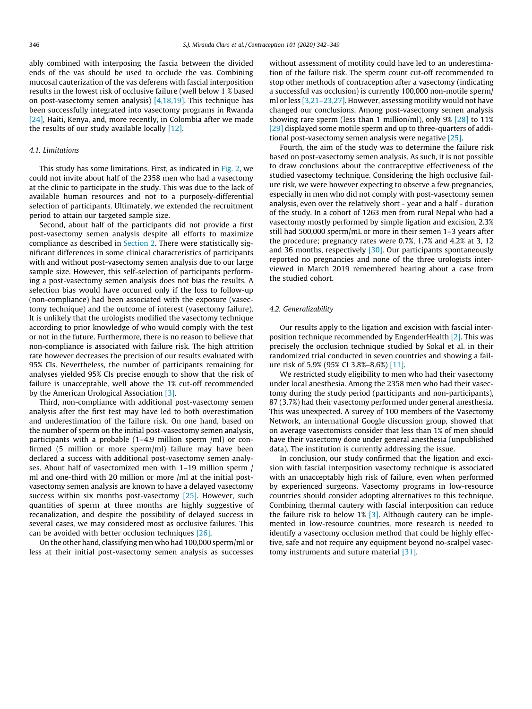ably combined with interposing the fascia between the divided ends of the vas should be used to occlude the vas. Combining mucosal cauterization of the vas deferens with fascial interposition results in the lowest risk of occlusive failure (well below 1 % based on post-vasectomy semen analysis)  $[4,18,19]$ . This technique has been successfully integrated into vasectomy programs in Rwanda [\[24\]](#page-7-0), Haiti, Kenya, and, more recently, in Colombia after we made the results of our study available locally [\[12\].](#page-7-0)

## 4.1. Limitations

This study has some limitations. First, as indicated in [Fig. 2](#page-2-0), we could not invite about half of the 2358 men who had a vasectomy at the clinic to participate in the study. This was due to the lack of available human resources and not to a purposely-differential selection of participants. Ultimately, we extended the recruitment period to attain our targeted sample size.

Second, about half of the participants did not provide a first post-vasectomy semen analysis despite all efforts to maximize compliance as described in [Section 2](#page-1-0). There were statistically significant differences in some clinical characteristics of participants with and without post-vasectomy semen analysis due to our large sample size. However, this self-selection of participants performing a post-vasectomy semen analysis does not bias the results. A selection bias would have occurred only if the loss to follow-up (non-compliance) had been associated with the exposure (vasectomy technique) and the outcome of interest (vasectomy failure). It is unlikely that the urologists modified the vasectomy technique according to prior knowledge of who would comply with the test or not in the future. Furthermore, there is no reason to believe that non-compliance is associated with failure risk. The high attrition rate however decreases the precision of our results evaluated with 95% CIs. Nevertheless, the number of participants remaining for analyses yielded 95% CIs precise enough to show that the risk of failure is unacceptable, well above the 1% cut-off recommended by the American Urological Association [\[3\].](#page-7-0)

Third, non-compliance with additional post-vasectomy semen analysis after the first test may have led to both overestimation and underestimation of the failure risk. On one hand, based on the number of sperm on the initial post-vasectomy semen analysis, participants with a probable (1–4.9 million sperm /ml) or confirmed (5 million or more sperm/ml) failure may have been declared a success with additional post-vasectomy semen analyses. About half of vasectomized men with 1–19 million sperm / ml and one-third with 20 million or more /ml at the initial postvasectomy semen analysis are known to have a delayed vasectomy success within six months post-vasectomy [\[25\]](#page-7-0). However, such quantities of sperm at three months are highly suggestive of recanalization, and despite the possibility of delayed success in several cases, we may considered most as occlusive failures. This can be avoided with better occlusion techniques [\[26\]](#page-7-0).

On the other hand, classifying men who had 100,000 sperm/ml or less at their initial post-vasectomy semen analysis as successes without assessment of motility could have led to an underestimation of the failure risk. The sperm count cut-off recommended to stop other methods of contraception after a vasectomy (indicating a successful vas occlusion) is currently 100,000 non-motile sperm/ ml or less [\[3,21–23,27\]](#page-7-0). However, assessing motility would not have changed our conclusions. Among post-vasectomy semen analysis showing rare sperm (less than 1 million/ml), only 9% [\[28\]](#page-7-0) to 11% [\[29\]](#page-7-0) displayed some motile sperm and up to three-quarters of additional post-vasectomy semen analysis were negative [\[25\].](#page-7-0)

Fourth, the aim of the study was to determine the failure risk based on post-vasectomy semen analysis. As such, it is not possible to draw conclusions about the contraceptive effectiveness of the studied vasectomy technique. Considering the high occlusive failure risk, we were however expecting to observe a few pregnancies, especially in men who did not comply with post-vasectomy semen analysis, even over the relatively short - year and a half - duration of the study. In a cohort of 1263 men from rural Nepal who had a vasectomy mostly performed by simple ligation and excision, 2.3% still had 500,000 sperm/mL or more in their semen 1–3 years after the procedure; pregnancy rates were 0.7%, 1.7% and 4.2% at 3, 12 and 36 months, respectively  $[30]$ . Our participants spontaneously reported no pregnancies and none of the three urologists interviewed in March 2019 remembered hearing about a case from the studied cohort.

#### 4.2. Generalizability

Our results apply to the ligation and excision with fascial interposition technique recommended by EngenderHealth [\[2\].](#page-7-0) This was precisely the occlusion technique studied by Sokal et al. in their randomized trial conducted in seven countries and showing a failure risk of 5.9% (95% CI 3.8%–8.6%) [\[11\]](#page-7-0).

We restricted study eligibility to men who had their vasectomy under local anesthesia. Among the 2358 men who had their vasectomy during the study period (participants and non-participants), 87 (3.7%) had their vasectomy performed under general anesthesia. This was unexpected. A survey of 100 members of the Vasectomy Network, an international Google discussion group, showed that on average vasectomists consider that less than 1% of men should have their vasectomy done under general anesthesia (unpublished data). The institution is currently addressing the issue.

In conclusion, our study confirmed that the ligation and excision with fascial interposition vasectomy technique is associated with an unacceptably high risk of failure, even when performed by experienced surgeons. Vasectomy programs in low-resource countries should consider adopting alternatives to this technique. Combining thermal cautery with fascial interposition can reduce the failure risk to below  $1\%$   $\boxed{3}$ . Although cautery can be implemented in low-resource countries, more research is needed to identify a vasectomy occlusion method that could be highly effective, safe and not require any equipment beyond no-scalpel vasec-tomy instruments and suture material [\[31\].](#page-7-0)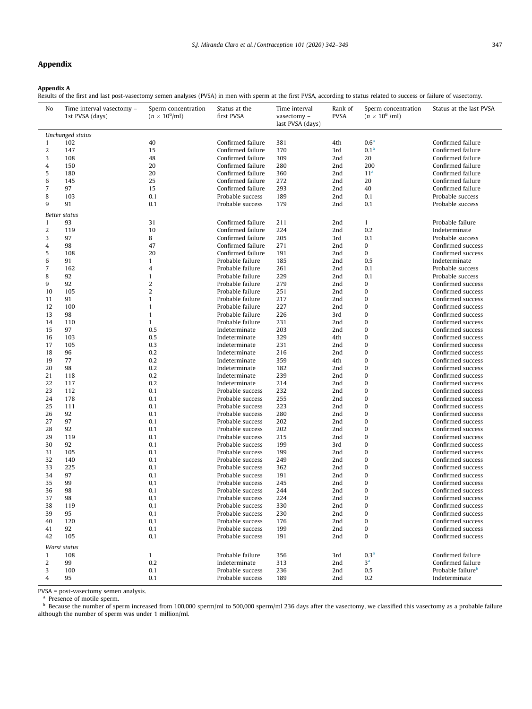# <span id="page-5-0"></span>Appendix

#### Appendix A

Results of the first and last post-vasectomy semen analyses (PVSA) in men with sperm at the first PVSA, according to status related to success or failure of vasectomy.

| No               | Time interval vasectomy -<br>1st PVSA (days) | Sperm concentration<br>$(n \times 10^6$ /ml) | Status at the<br>first PVSA | Time interval<br>vasectomy -<br>last PVSA (days) | Rank of<br><b>PVSA</b> | Sperm concentration<br>$(n \times 10^6$ /ml) | Status at the last PVSA       |
|------------------|----------------------------------------------|----------------------------------------------|-----------------------------|--------------------------------------------------|------------------------|----------------------------------------------|-------------------------------|
|                  | Unchanged status                             |                                              |                             |                                                  |                        |                                              |                               |
| $\mathbf{1}$     | 102                                          | 40                                           | Confirmed failure           | 381                                              | 4th                    | 0.6 <sup>a</sup>                             | Confirmed failure             |
| $\overline{2}$   | 147                                          | 15                                           | Confirmed failure           | 370                                              | 3rd                    | 0.1 <sup>a</sup>                             | Confirmed failure             |
| 3                | 108                                          | 48                                           | Confirmed failure           | 309                                              | 2nd                    | 20                                           | Confirmed failure             |
| 4                | 150                                          | 20                                           | Confirmed failure           | 280                                              | 2nd                    | 200                                          | Confirmed failure             |
| $\sqrt{5}$       | 180                                          | 20                                           | Confirmed failure           | 360                                              | 2nd                    | 11 <sup>a</sup>                              | Confirmed failure             |
| $\,6\,$          | 145                                          | 25                                           | Confirmed failure           | 272                                              | 2nd                    | 20                                           | Confirmed failure             |
| $\overline{7}$   | 97                                           | 15                                           | Confirmed failure           | 293                                              | 2nd                    | 40                                           | Confirmed failure             |
| 8                | 103                                          | 0.1                                          | Probable success            | 189                                              | 2nd                    | 0.1                                          | Probable success              |
| 9                | 91                                           | 0.1                                          | Probable success            | 179                                              | 2nd                    | 0.1                                          | Probable success              |
|                  | Better status                                |                                              |                             |                                                  |                        |                                              |                               |
| $\mathbf{1}$     | 93                                           | 31                                           | Confirmed failure           | 211                                              | 2nd                    | $\mathbf{1}$                                 | Probable failure              |
| $\boldsymbol{2}$ | 119                                          | 10                                           | Confirmed failure           | 224                                              | 2nd                    | 0.2                                          | Indeterminate                 |
| 3                | 97                                           | 8                                            | Confirmed failure           | 205                                              | 3rd                    | 0.1                                          | Probable success              |
| 4                | 98                                           | 47                                           | Confirmed failure           | 271                                              | 2nd                    | 0                                            | Confirmed success             |
| 5                | 108                                          | 20                                           | Confirmed failure           | 191                                              | 2nd                    | $\bf{0}$                                     | Confirmed success             |
| $\,6\,$          | 91                                           | $\mathbf{1}$                                 | Probable failure            | 185                                              | 2nd                    | 0.5                                          | Indeterminate                 |
| $\overline{7}$   | 162                                          | 4                                            | Probable failure            | 261                                              | 2nd                    | 0.1                                          | Probable success              |
| 8                | 92                                           | $\mathbf{1}$                                 | Probable failure            | 229                                              | 2nd                    | 0.1                                          | Probable success              |
| 9                | 92                                           | $\overline{2}$                               | Probable failure            | 279                                              | 2nd                    | $\pmb{0}$                                    | Confirmed success             |
| 10               | 105                                          | $\overline{2}$                               | Probable failure            | 251                                              | 2nd                    | $\bf{0}$                                     | Confirmed success             |
| 11               | 91                                           | $\mathbf{1}$                                 | Probable failure            | 217                                              | 2nd                    | $\bf{0}$                                     | Confirmed success             |
| 12               | 100                                          | $\mathbf{1}$                                 | Probable failure            | 227                                              | 2nd                    | $\bf{0}$                                     | Confirmed success             |
| 13               | 98                                           | $\mathbf{1}$                                 | Probable failure            | 226                                              | 3rd                    | $\bf{0}$                                     | Confirmed success             |
| 14               | 110                                          | $\mathbf{1}$                                 | Probable failure            | 231                                              | 2nd                    | $\bf{0}$                                     | Confirmed success             |
| 15               | 97                                           | 0.5                                          | Indeterminate               | 203                                              | 2nd                    | $\bf{0}$                                     | Confirmed success             |
| 16               | 103                                          | 0.5                                          | Indeterminate               | 329                                              | 4th                    | $\bf{0}$                                     | Confirmed success             |
| 17               | 105                                          | 0.3                                          | Indeterminate               | 231                                              | 2nd                    | $\bf{0}$                                     | Confirmed success             |
| 18               | 96                                           | 0.2                                          | Indeterminate               | 216                                              | 2nd                    | $\bf{0}$                                     | Confirmed success             |
| 19               | 77                                           | 0.2                                          | Indeterminate               | 359                                              | 4th                    | $\bf{0}$                                     | Confirmed success             |
| 20               | 98                                           | 0.2                                          | Indeterminate               | 182                                              | 2nd                    | $\bf{0}$                                     | Confirmed success             |
| 21               | 118                                          | 0.2                                          | Indeterminate               | 239                                              | 2nd                    | $\bf{0}$                                     | Confirmed success             |
| 22               | 117                                          | 0.2                                          | Indeterminate               | 214                                              | 2nd                    | $\bf{0}$                                     | Confirmed success             |
| 23               | 112                                          | 0.1                                          | Probable success            | 232                                              | 2nd                    | $\bf{0}$                                     | Confirmed success             |
| 24               | 178                                          | 0.1                                          | Probable success            | 255                                              | 2nd                    | $\bf{0}$                                     | Confirmed success             |
| 25               | 111                                          | 0.1                                          | Probable success            | 223                                              | 2nd                    | $\bf{0}$                                     | Confirmed success             |
| 26               | 92                                           | 0.1                                          | Probable success            | 280                                              | 2nd                    | $\bf{0}$                                     | Confirmed success             |
| 27               | 97                                           | 0.1                                          | Probable success            | 202                                              | 2nd                    | $\bf{0}$                                     | Confirmed success             |
| 28               | 92                                           | 0.1                                          | Probable success            | 202                                              | 2nd                    | $\bf{0}$                                     | Confirmed success             |
| 29               | 119                                          | 0.1                                          | Probable success            | 215                                              | 2nd                    | $\bf{0}$                                     | Confirmed success             |
| 30               | 92                                           | 0.1                                          | Probable success            | 199                                              | 3rd                    | $\bf{0}$                                     | Confirmed success             |
| 31               | 105                                          | 0.1                                          | Probable success            | 199                                              | 2nd                    | $\bf{0}$                                     | Confirmed success             |
| 32               | 140                                          | 0.1                                          | Probable success            | 249                                              | 2nd                    | $\bf{0}$                                     | Confirmed success             |
| 33               | 225                                          | 0,1                                          | Probable success            | 362                                              | 2nd                    | $\bf{0}$                                     | Confirmed success             |
| 34               | 97                                           | 0,1                                          | Probable success            | 191                                              | 2nd                    | $\bf{0}$                                     | Confirmed success             |
| 35               | 99                                           | 0,1                                          | Probable success            | 245                                              | 2nd                    | $\mathbf{0}$                                 | Confirmed success             |
| 36               | 98                                           | 0,1                                          | Probable success            | 244                                              | 2nd                    | 0                                            | Confirmed success             |
| 37               | 98                                           | 0,1                                          | Probable success            | 224                                              | 2nd                    | $\Omega$                                     | Confirmed success             |
| 38               | 119                                          | 0,1                                          | Probable success            | 330                                              | 2nd                    | $\bf{0}$                                     | Confirmed success             |
| 39               | 95                                           | 0,1                                          | Probable success            | 230                                              | 2nd                    | 0                                            | Confirmed success             |
| 40               | 120                                          | 0,1                                          | Probable success            | 176                                              | 2nd                    | 0                                            | Confirmed success             |
| 41               | 92                                           | 0,1                                          | Probable success            | 199                                              | 2nd                    | 0                                            | Confirmed success             |
| 42               | 105                                          | 0,1                                          | Probable success            | 191                                              | 2nd                    | $\bf{0}$                                     | Confirmed success             |
|                  |                                              |                                              |                             |                                                  |                        |                                              |                               |
|                  | Worst status                                 |                                              |                             |                                                  |                        |                                              |                               |
| $\mathbf{1}$     | 108                                          | $\mathbf{1}$                                 | Probable failure            | 356                                              | 3rd                    | 0.3 <sup>a</sup>                             | Confirmed failure             |
| 2                | 99                                           | 0.2                                          | Indeterminate               | 313                                              | 2nd                    | 3 <sup>a</sup>                               | Confirmed failure             |
| 3                | 100                                          | 0.1                                          | Probable success            | 236                                              | 2nd                    | 0.5                                          | Probable failure <sup>b</sup> |
| 4                | 95                                           | 0.1                                          | Probable success            | 189                                              | 2nd                    | 0.2                                          | Indeterminate                 |

PVSA = post-vasectomy semen analysis.

<sup>a</sup> Presence of motile sperm.

 $^{\rm b}$  Because the number of sperm increased from 100,000 sperm/ml to 500,000 sperm/ml 236 days after the vasectomy, we classified this vasectomy as a probable failure although the number of sperm was under 1 million/ml.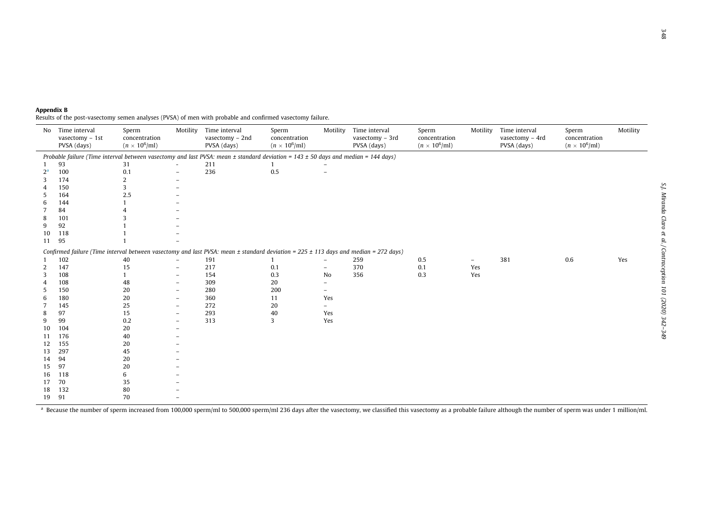| Appendix B |                                                                                                           |  |  |
|------------|-----------------------------------------------------------------------------------------------------------|--|--|
|            | Results of the post-vasectomy semen analyses (PVSA) of men with probable and confirmed vasectomy failure. |  |  |

| No    | Time interval<br>vasectomy $-1st$<br>PVSA (days) | Sperm<br>concentration<br>$(n \times 10^6$ ml) | Motility                 | Time interval<br>vasectomy - 2nd<br>PVSA (days)                                                                                             | Sperm<br>concentration<br>$(n \times 10^6$ ml) | Motility                 | Time interval<br>vasectomy - 3rd<br>PVSA (days) | Sperm<br>concentration<br>$(n \times 10^6$ /ml) | Motility                 | Time interval<br>vasectomy - 4rd<br>PVSA (days) | Sperm<br>concentration<br>$(n \times 10^6$ ml) | Motility |
|-------|--------------------------------------------------|------------------------------------------------|--------------------------|---------------------------------------------------------------------------------------------------------------------------------------------|------------------------------------------------|--------------------------|-------------------------------------------------|-------------------------------------------------|--------------------------|-------------------------------------------------|------------------------------------------------|----------|
|       |                                                  |                                                |                          | Probable failure (Time interval between vasectomy and last PVSA: mean $\pm$ standard deviation = 143 $\pm$ 50 days and median = 144 days)   |                                                |                          |                                                 |                                                 |                          |                                                 |                                                |          |
|       | 93                                               | 31                                             |                          | 211                                                                                                                                         |                                                |                          |                                                 |                                                 |                          |                                                 |                                                |          |
| $2^a$ | 100                                              | 0.1                                            |                          | 236                                                                                                                                         | 0.5                                            | ÷                        |                                                 |                                                 |                          |                                                 |                                                |          |
| 3     | 174                                              | 2                                              |                          |                                                                                                                                             |                                                |                          |                                                 |                                                 |                          |                                                 |                                                |          |
|       | 150                                              | 3                                              |                          |                                                                                                                                             |                                                |                          |                                                 |                                                 |                          |                                                 |                                                |          |
| 5     | 164                                              | 2.5                                            |                          |                                                                                                                                             |                                                |                          |                                                 |                                                 |                          |                                                 |                                                |          |
| 6     | 144                                              |                                                |                          |                                                                                                                                             |                                                |                          |                                                 |                                                 |                          |                                                 |                                                |          |
|       | 84                                               |                                                |                          |                                                                                                                                             |                                                |                          |                                                 |                                                 |                          |                                                 |                                                |          |
| 8     | 101                                              | 3                                              |                          |                                                                                                                                             |                                                |                          |                                                 |                                                 |                          |                                                 |                                                |          |
| 9     | 92                                               |                                                |                          |                                                                                                                                             |                                                |                          |                                                 |                                                 |                          |                                                 |                                                |          |
| 10    | 118                                              |                                                |                          |                                                                                                                                             |                                                |                          |                                                 |                                                 |                          |                                                 |                                                |          |
| 11    | 95                                               |                                                |                          |                                                                                                                                             |                                                |                          |                                                 |                                                 |                          |                                                 |                                                |          |
|       |                                                  |                                                |                          | Confirmed failure (Time interval between vasectomy and last PVSA: mean $\pm$ standard deviation = 225 $\pm$ 113 days and median = 272 days) |                                                |                          |                                                 |                                                 |                          |                                                 |                                                |          |
|       | 102                                              | 40                                             | $\overline{\phantom{0}}$ | 191                                                                                                                                         |                                                |                          | 259                                             | 0.5                                             | $\overline{\phantom{0}}$ | 381                                             | 0.6                                            | Yes      |
| 2     | 147                                              | 15                                             | $\overline{\phantom{a}}$ | 217                                                                                                                                         | 0.1                                            | $\overline{\phantom{a}}$ | 370                                             | 0.1                                             | Yes                      |                                                 |                                                |          |
| 3     | 108                                              |                                                | $\overline{\phantom{a}}$ | 154                                                                                                                                         | 0.3                                            | No                       | 356                                             | 0.3                                             | Yes                      |                                                 |                                                |          |
|       | 108                                              | 48                                             | $\overline{\phantom{a}}$ | 309                                                                                                                                         | 20                                             | $\overline{\phantom{0}}$ |                                                 |                                                 |                          |                                                 |                                                |          |
| 5     | 150                                              | 20                                             |                          | 280                                                                                                                                         | 200                                            |                          |                                                 |                                                 |                          |                                                 |                                                |          |
| 6     | 180                                              | 20                                             |                          | 360                                                                                                                                         | 11                                             | Yes                      |                                                 |                                                 |                          |                                                 |                                                |          |
|       | 145                                              | 25                                             |                          | 272                                                                                                                                         | 20                                             |                          |                                                 |                                                 |                          |                                                 |                                                |          |
| 8     | 97                                               | 15                                             |                          | 293                                                                                                                                         | 40                                             | Yes                      |                                                 |                                                 |                          |                                                 |                                                |          |
| 9     | 99                                               | 0.2                                            |                          | 313                                                                                                                                         | 3                                              | Yes                      |                                                 |                                                 |                          |                                                 |                                                |          |
| 10    | 104                                              | 20                                             |                          |                                                                                                                                             |                                                |                          |                                                 |                                                 |                          |                                                 |                                                |          |
| 11    | 176                                              | 40                                             |                          |                                                                                                                                             |                                                |                          |                                                 |                                                 |                          |                                                 |                                                |          |
| 12    | 155                                              | 20                                             |                          |                                                                                                                                             |                                                |                          |                                                 |                                                 |                          |                                                 |                                                |          |
| 13    | 297                                              | 45                                             |                          |                                                                                                                                             |                                                |                          |                                                 |                                                 |                          |                                                 |                                                |          |
| 14    | 94                                               | 20                                             |                          |                                                                                                                                             |                                                |                          |                                                 |                                                 |                          |                                                 |                                                |          |
| 15    | 97                                               | 20                                             |                          |                                                                                                                                             |                                                |                          |                                                 |                                                 |                          |                                                 |                                                |          |
| 16    | 118                                              | 6                                              |                          |                                                                                                                                             |                                                |                          |                                                 |                                                 |                          |                                                 |                                                |          |
| 17    | 70                                               | 35                                             |                          |                                                                                                                                             |                                                |                          |                                                 |                                                 |                          |                                                 |                                                |          |
| 18    | 132                                              | 80                                             |                          |                                                                                                                                             |                                                |                          |                                                 |                                                 |                          |                                                 |                                                |          |
| 19    | 91                                               | 70                                             |                          |                                                                                                                                             |                                                |                          |                                                 |                                                 |                          |                                                 |                                                |          |

 $^{\text{a}}$  Because the number of sperm increased from 100,000 sperm/ml to 500,000 sperm/ml 236 days after the vasectomy, we classified this vasectomy as a probable failure although the number of sperm was under 1 million/ml